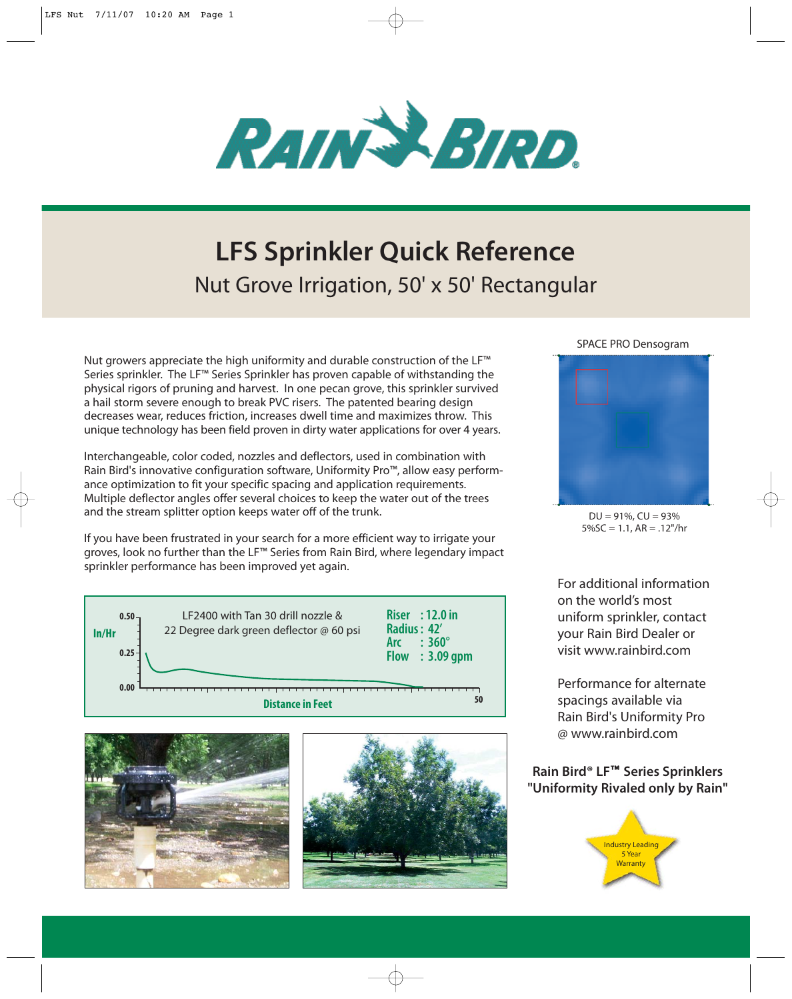

## **LFS Sprinkler Quick Reference** Nut Grove Irrigation, 50' x 50' Rectangular

Nut growers appreciate the high uniformity and durable construction of the LF™ Series sprinkler. The LF™ Series Sprinkler has proven capable of withstanding the physical rigors of pruning and harvest. In one pecan grove, this sprinkler survived a hail storm severe enough to break PVC risers. The patented bearing design decreases wear, reduces friction, increases dwell time and maximizes throw. This unique technology has been field proven in dirty water applications for over 4 years.

Interchangeable, color coded, nozzles and deflectors, used in combination with Rain Bird's innovative configuration software, Uniformity Pro™, allow easy performance optimization to fit your specific spacing and application requirements. Multiple deflector angles offer several choices to keep the water out of the trees and the stream splitter option keeps water off of the trunk.

If you have been frustrated in your search for a more efficient way to irrigate your groves, look no further than the LF™ Series from Rain Bird, where legendary impact sprinkler performance has been improved yet again.







#### SPACE PRO Densogram



 $DU = 91\%$ ,  $CU = 93\%$ 5%SC = 1.1, AR = .12"/hr

For additional information on the world's most uniform sprinkler, contact your Rain Bird Dealer or visit www.rainbird.com

Performance for alternate spacings available via Rain Bird's Uniformity Pro @ www.rainbird.com

### **Rain Bird® LF**™ **Series Sprinklers "Uniformity Rivaled only by Rain"**